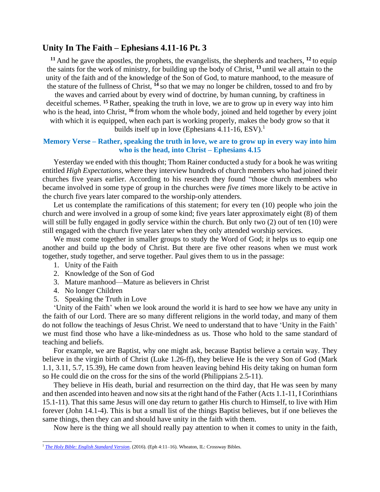## **Unity In The Faith – Ephesians 4.11-16 Pt. 3**

**<sup>11</sup>** And he gave the apostles, the prophets, the evangelists, the shepherds and teachers, **<sup>12</sup>** to equip the saints for the work of ministry, for building up the body of Christ, **<sup>13</sup>** until we all attain to the unity of the faith and of the knowledge of the Son of God, to mature manhood, to the measure of the stature of the fullness of Christ, **<sup>14</sup>** so that we may no longer be children, tossed to and fro by

the waves and carried about by every wind of doctrine, by human cunning, by craftiness in deceitful schemes. **<sup>15</sup>** Rather, speaking the truth in love, we are to grow up in every way into him who is the head, into Christ, **<sup>16</sup>** from whom the whole body, joined and held together by every joint with which it is equipped, when each part is working properly, makes the body grow so that it

builds itself up in love (Ephesians 4.11-16, ESV).<sup>1</sup>

## **Memory Verse – Rather, speaking the truth in love, we are to grow up in every way into him who is the head, into Christ – Ephesians 4.15**

Yesterday we ended with this thought; Thom Rainer conducted a study for a book he was writing entitled *High Expectations*, where they interview hundreds of church members who had joined their churches five years earlier. According to his research they found "those church members who became involved in some type of group in the churches were *five times* more likely to be active in the church five years later compared to the worship-only attenders.

Let us contemplate the ramifications of this statement; for every ten (10) people who join the church and were involved in a group of some kind; five years later approximately eight (8) of them will still be fully engaged in godly service within the church. But only two (2) out of ten (10) were still engaged with the church five years later when they only attended worship services.

We must come together in smaller groups to study the Word of God; it helps us to equip one another and build up the body of Christ. But there are five other reasons when we must work together, study together, and serve together. Paul gives them to us in the passage:

- 1. Unity of the Faith
- 2. Knowledge of the Son of God
- 3. Mature manhood—Mature as believers in Christ
- 4. No longer Children
- 5. Speaking the Truth in Love

'Unity of the Faith' when we look around the world it is hard to see how we have any unity in the faith of our Lord. There are so many different religions in the world today, and many of them do not follow the teachings of Jesus Christ. We need to understand that to have 'Unity in the Faith' we must find those who have a like-mindedness as us. Those who hold to the same standard of teaching and beliefs.

For example, we are Baptist, why one might ask, because Baptist believe a certain way. They believe in the virgin birth of Christ (Luke 1.26-ff), they believe He is the very Son of God (Mark 1.1, 3.11, 5.7, 15.39), He came down from heaven leaving behind His deity taking on human form so He could die on the cross for the sins of the world (Philippians 2.5-11).

They believe in His death, burial and resurrection on the third day, that He was seen by many and then ascended into heaven and now sits at the right hand of the Father (Acts 1.1-11, I Corinthians 15.1-11). That this same Jesus will one day return to gather His church to Himself, to live with Him forever (John 14.1-4). This is but a small list of the things Baptist believes, but if one believes the same things, then they can and should have unity in the faith with them.

Now here is the thing we all should really pay attention to when it comes to unity in the faith,

<sup>&</sup>lt;sup>1</sup> [The Holy Bible: English Standard Version](https://ref.ly/logosres/esv?ref=BibleESV.Eph4.11&off=0&ctx=l%EF%BB%BFfill+all+things.)+~11%C2%A0And+m%EF%BB%BFhe+gave+%E2%80%A2th). (2016). (Eph 4:11-16). Wheaton, IL: Crossway Bibles.